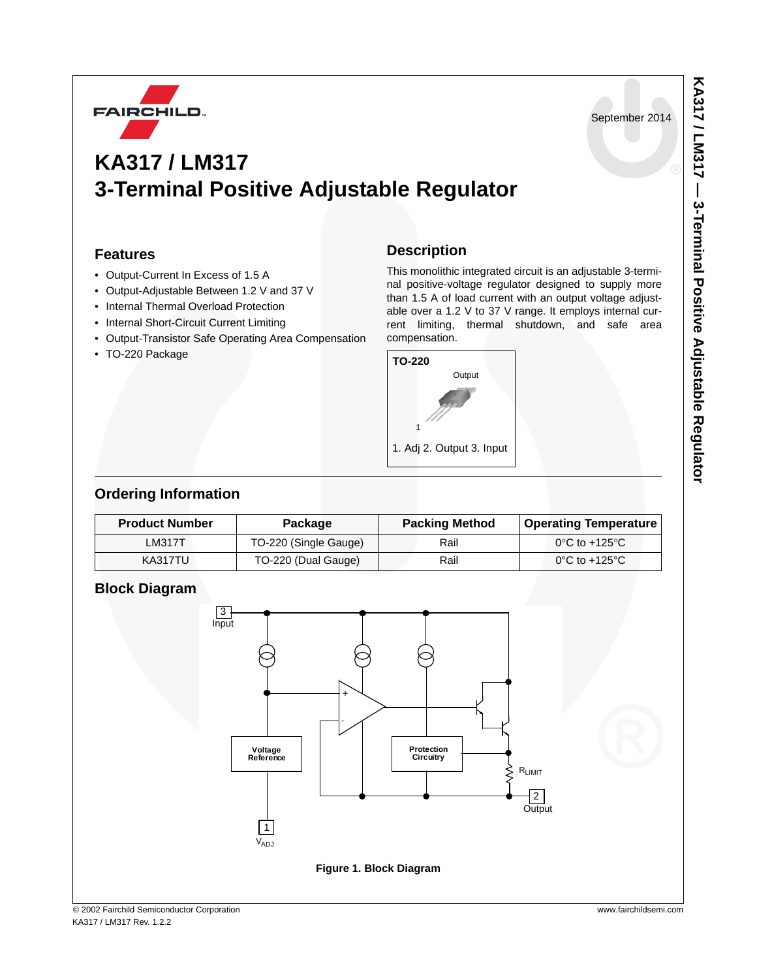

September 2014

# **KA317 / LM317 3-Terminal Positive Adjustable Regulator**

# **Features**

- Output-Current In Excess of 1.5 A
- Output-Adjustable Between 1.2 V and 37 V
- Internal Thermal Overload Protection
- Internal Short-Circuit Current Limiting
- Output-Transistor Safe Operating Area Compensation
- TO-220 Package

## **Description**

This monolithic integrated circuit is an adjustable 3-terminal positive-voltage regulator designed to supply more than 1.5 A of load current with an output voltage adjustable over a 1.2 V to 37 V range. It employs internal current limiting, thermal shutdown, and safe area compensation.



# **Ordering Information**

| <b>Product Number</b> |         | <b>Package</b>        | <b>Packing Method</b> | <b>Operating Temperature</b>       |  |
|-----------------------|---------|-----------------------|-----------------------|------------------------------------|--|
|                       | LM317T  | TO-220 (Single Gauge) | Rail                  | $0^{\circ}$ C to +125 $^{\circ}$ C |  |
|                       | KA317TU | TO-220 (Dual Gauge)   | Rail                  | $0^{\circ}$ C to +125 $^{\circ}$ C |  |

# **Block Diagram**

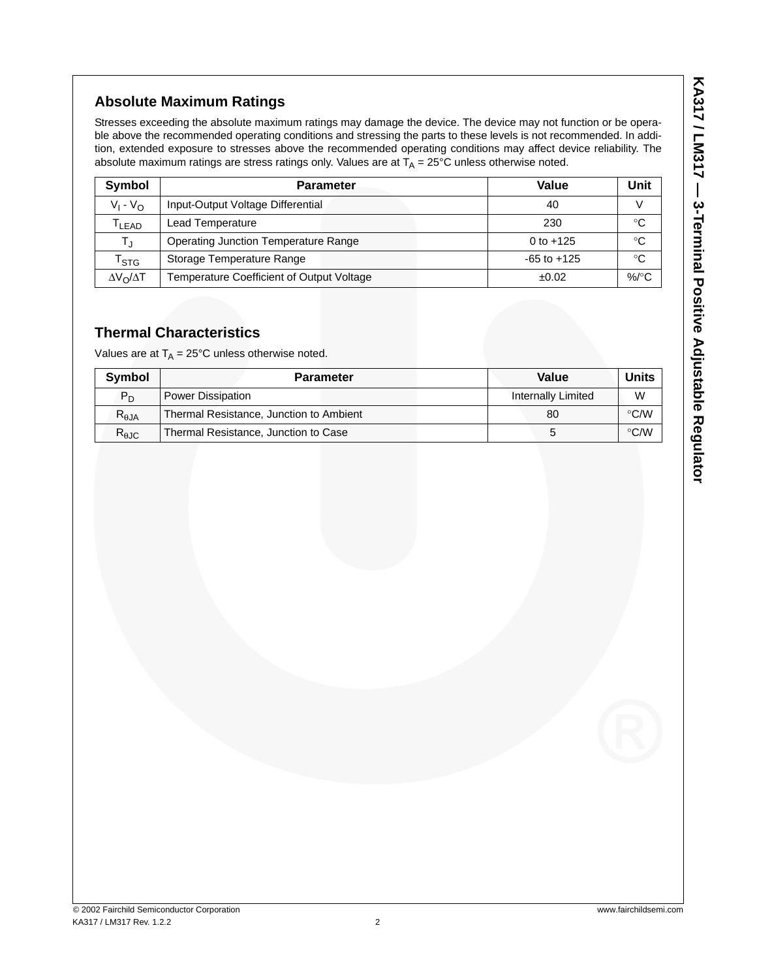# KA317 / LM317 - 3-Terminal Positive Adjustable Regulator **KA317 / LM317 — 3-Terminal Positive Adjustable Regulator**

# **Absolute Maximum Ratings**

Stresses exceeding the absolute maximum ratings may damage the device. The device may not function or be operable above the recommended operating conditions and stressing the parts to these levels is not recommended. In addition, extended exposure to stresses above the recommended operating conditions may affect device reliability. The absolute maximum ratings are stress ratings only. Values are at  $T_A = 25^{\circ}C$  unless otherwise noted.

| Symbol                  | <b>Parameter</b>                            | Value           | Unit               |
|-------------------------|---------------------------------------------|-----------------|--------------------|
| $V_1 - V_{\Omega}$      | Input-Output Voltage Differential           | 40              |                    |
| T <sub>LEAD</sub>       | Lead Temperature                            | 230             | °C                 |
|                         | <b>Operating Junction Temperature Range</b> | 0 to $+125$     | °C                 |
| $r_{\tt STG}$           | Storage Temperature Range                   | $-65$ to $+125$ | °C                 |
| $\Delta V_O / \Delta T$ | Temperature Coefficient of Output Voltage   | ±0.02           | %/ $\rm ^{\circ}C$ |

# **Thermal Characteristics**

Values are at  $T_A = 25^{\circ}$ C unless otherwise noted.

| <b>Symbol</b>  | <b>Parameter</b>                        | Value                     | <b>Units</b>  |
|----------------|-----------------------------------------|---------------------------|---------------|
| $P_D$          | Power Dissipation                       | <b>Internally Limited</b> | W             |
| $R_{\theta$ JA | Thermal Resistance, Junction to Ambient | 80                        | $\degree$ C/W |
| $R_{\theta$ JC | Thermal Resistance, Junction to Case    |                           | $\degree$ C/W |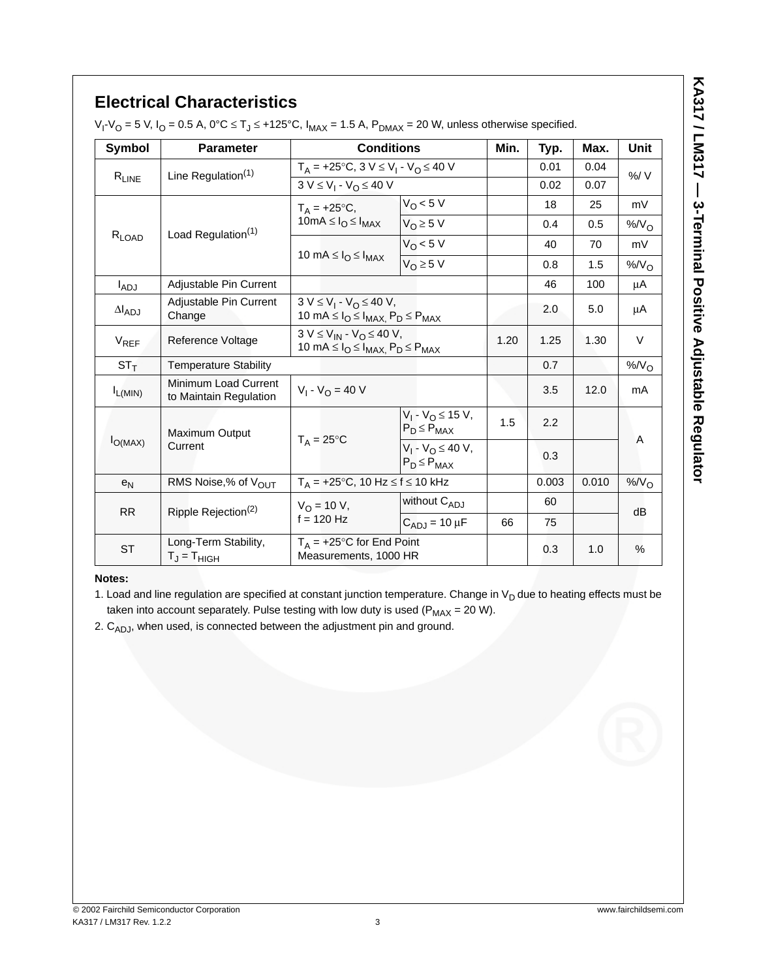# **Electrical Characteristics**

V<sub>I</sub>-V<sub>O</sub> = 5 V, I<sub>O</sub> = 0.5 A, 0°C ≤ Tյ ≤ +125°C, I<sub>MAX</sub> = 1.5 A, P<sub>DMAX</sub> = 20 W, unless otherwise specified.

| <b>Symbol</b>          | <b>Parameter</b>                               | <b>Conditions</b>                                                                             |                                              | Min.                                         | Typ.  | Max.  | Unit     |  |
|------------------------|------------------------------------------------|-----------------------------------------------------------------------------------------------|----------------------------------------------|----------------------------------------------|-------|-------|----------|--|
|                        | Line Regulation $(1)$                          | $T_A = +25$ °C, 3 V $\leq$ V <sub>1</sub> - V <sub>O</sub> $\leq$ 40 V                        |                                              |                                              | 0.01  | 0.04  | %/V      |  |
| $R_{LINE}$             |                                                | $3 V \le V_1 - V_0 \le 40 V$                                                                  |                                              |                                              | 0.02  | 0.07  |          |  |
|                        | Load Regulation <sup>(1)</sup>                 | $T_A = +25$ °C,                                                                               | $V_O < 5 V$                                  |                                              | 18    | 25    | mV       |  |
|                        |                                                | $10mA \leq I_{O} \leq I_{MAX}$                                                                | $V_0 \geq 5$ V                               |                                              | 0.4   | 0.5   | $%N_{O}$ |  |
| $R_{LOAD}$             |                                                |                                                                                               | $V_O < 5 V$                                  |                                              | 40    | 70    | mV       |  |
|                        |                                                | 10 mA $\leq$ $I_{O} \leq$ $I_{MAX}$                                                           | $V_{\Omega} \geq 5$ V                        |                                              | 0.8   | 1.5   | $%N_{O}$ |  |
| $I_{ADJ}$              | Adjustable Pin Current                         |                                                                                               |                                              |                                              | 46    | 100   | μA       |  |
| $\Delta I_{ADJ}$       | Adjustable Pin Current<br>Change               | $3 V \le V_1 - V_0 \le 40 V$ ,<br>10 mA $\leq I_{O} \leq I_{MAX}$ , $P_{D} \leq P_{MAX}$      |                                              |                                              | 2.0   | 5.0   | μA       |  |
| <b>V<sub>REF</sub></b> | Reference Voltage                              | $3 V \le V_{IN} - V_{O} \le 40 V$ ,<br>10 mA $\leq I_{O} \leq I_{MAX}$ , $P_{D} \leq P_{MAX}$ |                                              | 1.20                                         | 1.25  | 1.30  | V        |  |
| $ST_T$                 | <b>Temperature Stability</b>                   |                                                                                               |                                              |                                              | 0.7   |       | $%N_{O}$ |  |
| $I_{L(MIN)}$           | Minimum Load Current<br>to Maintain Regulation | $V_1 - V_{\Omega} = 40 V$                                                                     |                                              |                                              | 3.5   | 12.0  | mA       |  |
|                        |                                                | Maximum Output                                                                                |                                              | $V_1 - V_0 \le 15 V$ ,<br>$P_D \leq P_{MAX}$ | 1.5   | 2.2   |          |  |
| $I_{O(MAX)}$           | Current                                        | $T_A = 25^{\circ}C$                                                                           | $V_1 - V_0 \le 40 V$ ,<br>$P_D \leq P_{MAX}$ |                                              | 0.3   |       | A        |  |
| $e_N$                  | RMS Noise,% of V <sub>OUT</sub>                | $T_A = +25$ °C, 10 Hz $\le$ f $\le$ 10 kHz                                                    |                                              |                                              | 0.003 | 0.010 | $%N_{O}$ |  |
|                        | Ripple Rejection <sup>(2)</sup>                | $V_{\Omega}$ = 10 V,                                                                          | without $C_{AD,I}$                           |                                              | 60    |       |          |  |
| <b>RR</b>              |                                                | $f = 120$ Hz<br>$C_{AD,I}$ = 10 µF                                                            |                                              | 66                                           | 75    |       | dB       |  |
| <b>ST</b>              | Long-Term Stability,<br>$T_J = T_{HIGH}$       | $T_A$ = +25°C for End Point<br>Measurements, 1000 HR                                          |                                              |                                              | 0.3   | 1.0   | $\%$     |  |

## **Notes:**

1. Load and line regulation are specified at constant junction temperature. Change in  $V_D$  due to heating effects must be taken into account separately. Pulse testing with low duty is used ( $P_{MAX} = 20 W$ ).

2.  $C_{ADJ}$ , when used, is connected between the adjustment pin and ground.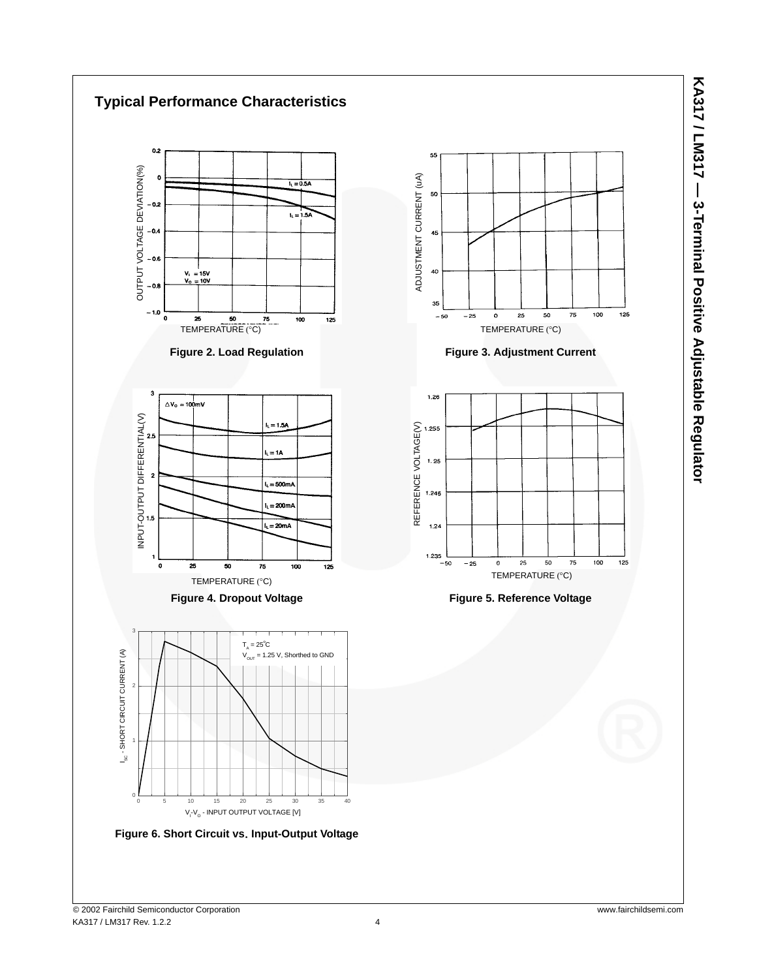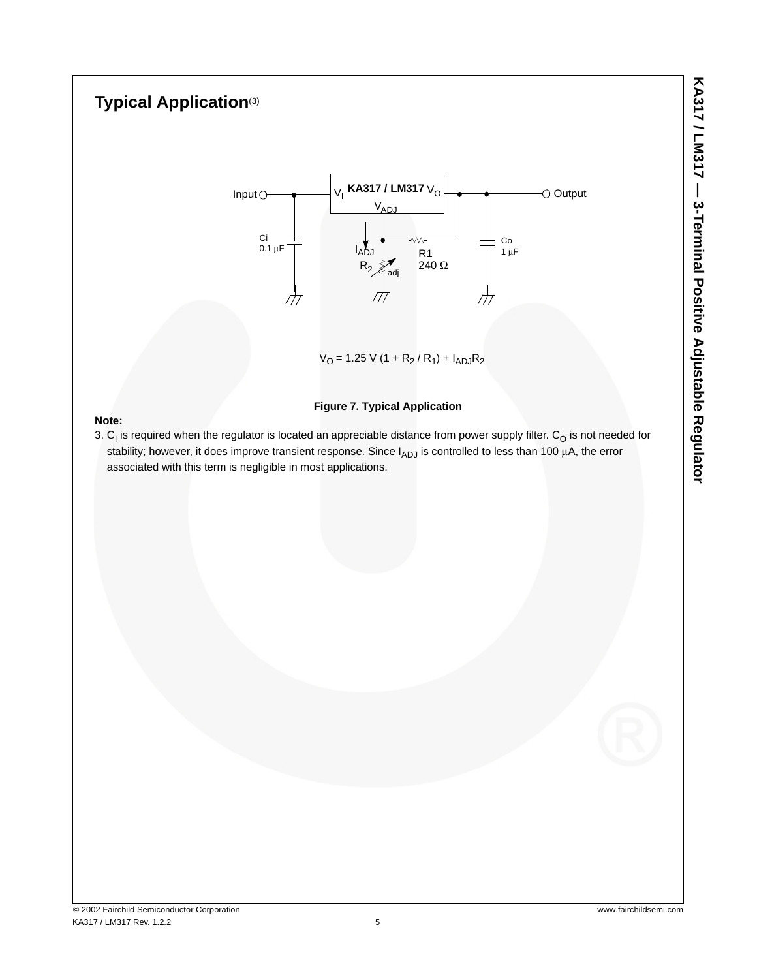# **Typical Application**(3)



 $V_{\rm O}$  = 1.25 V (1 + R<sub>2</sub> / R<sub>1</sub>) + I<sub>ADJ</sub>R<sub>2</sub>

## **Figure 7. Typical Application**

## **Note:**

3.  $C_1$  is required when the regulator is located an appreciable distance from power supply filter.  $C_O$  is not needed for stability; however, it does improve transient response. Since  $I_{ADJ}$  is controlled to less than 100  $\mu$ A, the error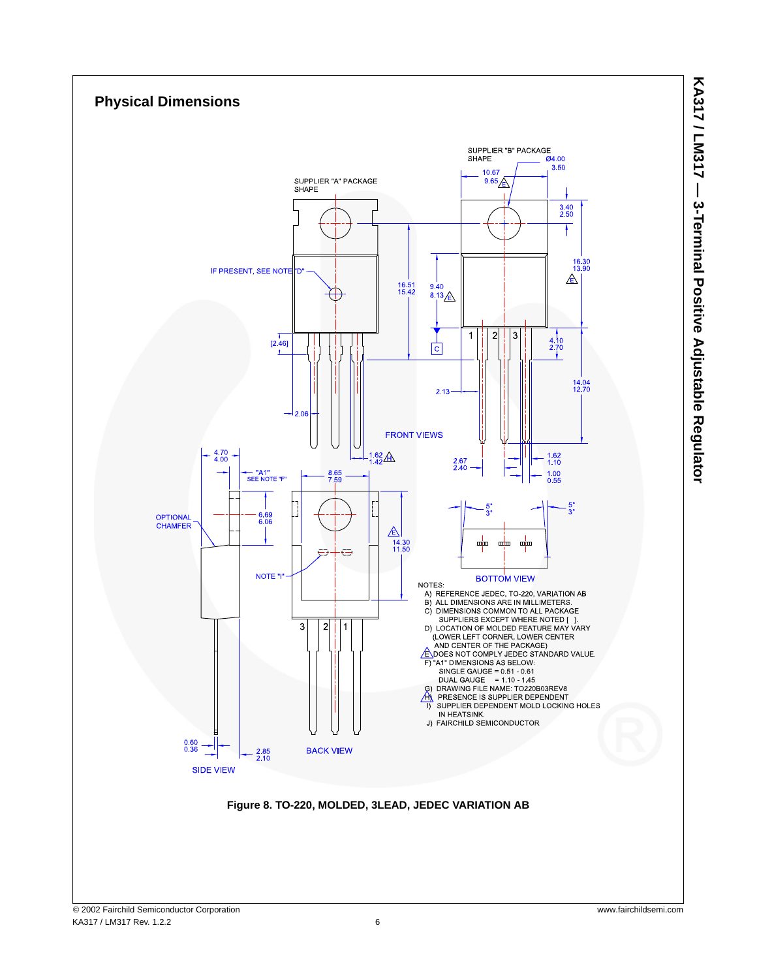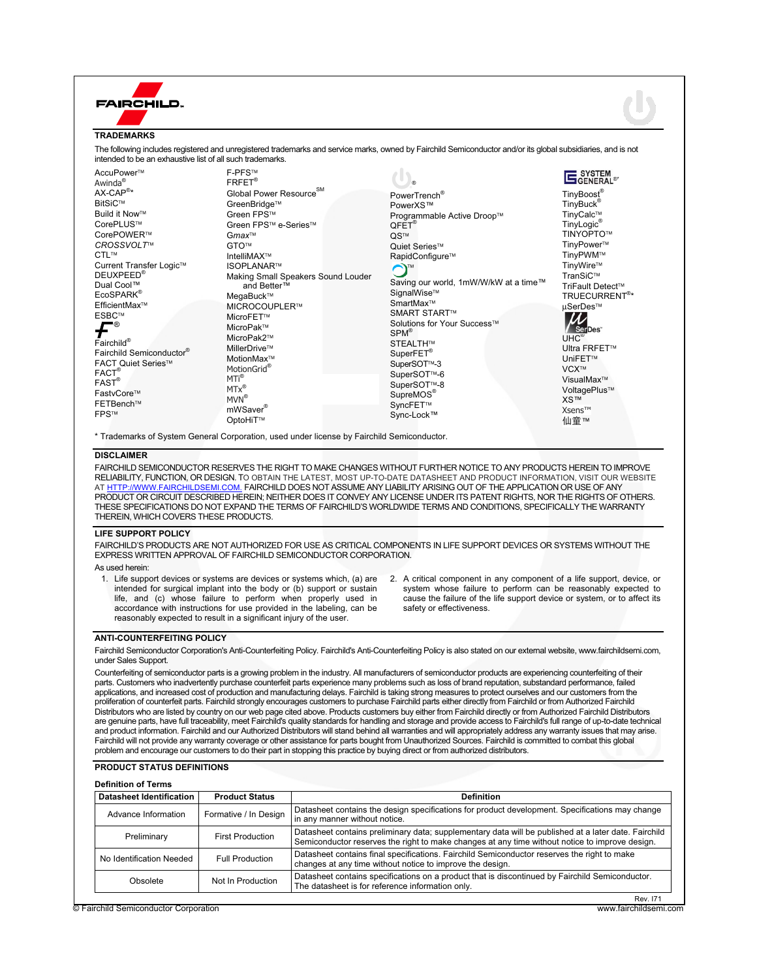#### **FAIRCHILD. TRADEMARKS**  The following includes registered and unregistered trademarks and service marks, owned by Fairchild Semiconductor and/or its global subsidiaries, and is not intended to be an exhaustive list of all such trademarks. **F-PFS™ SYSTEM** AccuPower™  $\left(1\right)_{\circ}$ FRFET® Awinda® Global Power Resource<sup>SM</sup>  $AX\text{-}\mathsf{CAP}^{\circledast_\star}$ PowerTrench® TinyBoost® BitSiC™ GreenBridge™ TinyBuck<sup>®</sup> PowerXS™ **Build it Now™** Green FPS™ Programmable Active Droop™ TinyCalc<sup>™</sup> CorePLUS™ TinyLogic® Green FPS<sup>™</sup> e-Series™  $OFET<sup>®</sup>$ CorePOWER™ Gmax<sup>™</sup> **TINYOPTO™** QS™ *CROSSVOLT*¥ TinyPower™ GTO™ Quiet Series™ CTL™ TinyPWM™ IntelliMAX™ RapidConfigure<sup>™</sup> TinyWire™ Current Transfer Logic<sup>™</sup> **ISOPI ANAR™** ¥ Making Small Speakers Sound Louder TranSiC™ DEUXPEED® Saving our world, 1mW/W/kW at a time™ Dual Cool™ TriFault Detect<sup>™</sup> and Better™ SignalWise<sup>™</sup> EcoSPARK® MegaBuck™ TRUECURRENT® \* SmartMax<sup>™</sup> EfficientMax<sup>™</sup> MICROCOUPLER™ μSerDes™ **SMART START™** ESBC™ MicroFFT™  $\boldsymbol{f}^*$ Solutions for Your Success™ MicroPak™ SPM® MicroPak2<sup>™</sup>  $I H C<sup>®</sup>$ Fairchild® STEALTH™ MillerDrive™ Ultra FRFET<sup>™</sup> Fairchild Semiconductor<sup>®</sup> SuperFET® MotionMax<sup>™</sup> UniFET<sup>™</sup> FACT Quiet Series™ SuperSOT<sup>™-3</sup> MotionGrid® VCX™ FACT<sup>®</sup><br>FAST<sup>®</sup> SuperSOT<sup>™-6</sup> MTi® VisualMax<sup>™</sup> SuperSOT<sup>™-8</sup> MTx<sup>®</sup> VoltagePlus™ FastvCore™ SupreMOS<sup>®</sup> MVN® XS™ FETBench™ SyncFET<sup>™</sup> mWSaver® Xsens™ **FPS<sub>™</sub>** Sync-Lock™

\* Trademarks of System General Corporation, used under license by Fairchild Semiconductor.

OptoHiT™

### **DISCLAIMER**

FAIRCHILD SEMICONDUCTOR RESERVES THE RIGHT TO MAKE CHANGES WITHOUT FURTHER NOTICE TO ANY PRODUCTS HEREIN TO IMPROVE RELIABILITY, FUNCTION, OR DESIGN. TO OBTAIN THE LATEST, MOST UP-TO-DATE DATASHEET AND PRODUCT INFORMATION, VISIT OUR WEBSITE<br>AT HTTP://WWW.FAIRCHILDSEMI.COM. FAIRCHILD DOES NOT ASSUME ANY LIABILITY ARISING OUT OF THE APPI WW.FAIRCHILDSEMI.COM. FAIRCHILD DOES NOT ASSUME ANY LIABILITY ARISING OUT OF THE APPLICATION OR USE OF ANY PRODUCT OR CIRCUIT DESCRIBED HEREIN; NEITHER DOES IT CONVEY ANY LICENSE UNDER ITS PATENT RIGHTS, NOR THE RIGHTS OF OTHERS. THESE SPECIFICATIONS DO NOT EXPAND THE TERMS OF FAIRCHILD'S WORLDWIDE TERMS AND CONDITIONS, SPECIFICALLY THE WARRANTY THEREIN, WHICH COVERS THESE PRODUCTS.

#### **LIFE SUPPORT POLICY**

FAIRCHILD'S PRODUCTS ARE NOT AUTHORIZED FOR USE AS CRITICAL COMPONENTS IN LIFE SUPPORT DEVICES OR SYSTEMS WITHOUT THE EXPRESS WRITTEN APPROVAL OF FAIRCHILD SEMICONDUCTOR CORPORATION.

As used herein:

- 1. Life support devices or systems are devices or systems which, (a) are intended for surgical implant into the body or (b) support or sustain life, and (c) whose failure to perform when properly used in accordance with instructions for use provided in the labeling, can be reasonably expected to result in a significant injury of the user.
- 2. A critical component in any component of a life support, device, or system whose failure to perform can be reasonably expected to cause the failure of the life support device or system, or to affect its safety or effectiveness.

❺™

## **ANTI-COUNTERFEITING POLICY**

Fairchild Semiconductor Corporation's Anti-Counterfeiting Policy. Fairchild's Anti-Counterfeiting Policy is also stated on our external website, www.fairchildsemi.com, under Sales Support.

Counterfeiting of semiconductor parts is a growing problem in the industry. All manufacturers of semiconductor products are experiencing counterfeiting of their parts. Customers who inadvertently purchase counterfeit parts experience many problems such as loss of brand reputation, substandard performance, failed applications, and increased cost of production and manufacturing delays. Fairchild is taking strong measures to protect ourselves and our customers from the proliferation of counterfeit parts. Fairchild strongly encourages customers to purchase Fairchild parts either directly from Fairchild or from Authorized Fairchild Distributors who are listed by country on our web page cited above. Products customers buy either from Fairchild directly or from Authorized Fairchild Distributors are genuine parts, have full traceability, meet Fairchild's quality standards for handling and storage and provide access to Fairchild's full range of up-to-date technical and product information. Fairchild and our Authorized Distributors will stand behind all warranties and will appropriately address any warranty issues that may arise. Fairchild will not provide any warranty coverage or other assistance for parts bought from Unauthorized Sources. Fairchild is committed to combat this global problem and encourage our customers to do their part in stopping this practice by buying direct or from authorized distributors.

## **PRODUCT STATUS DEFINITIONS**

| <b>Datasheet Identification</b> | <b>Product Status</b>   | <b>Definition</b>                                                                                                                                                                                      |
|---------------------------------|-------------------------|--------------------------------------------------------------------------------------------------------------------------------------------------------------------------------------------------------|
| Advance Information             | Formative / In Design   | Datasheet contains the design specifications for product development. Specifications may change<br>in any manner without notice.                                                                       |
| Preliminary                     | <b>First Production</b> | Datasheet contains preliminary data; supplementary data will be published at a later date. Fairchild<br>Semiconductor reserves the right to make changes at any time without notice to improve design. |
| No Identification Needed        | <b>Full Production</b>  | Datasheet contains final specifications. Fairchild Semiconductor reserves the right to make<br>changes at any time without notice to improve the design.                                               |
| Obsolete                        | Not In Production       | Datasheet contains specifications on a product that is discontinued by Fairchild Semiconductor.<br>The datasheet is for reference information only.                                                    |

Rev. I71